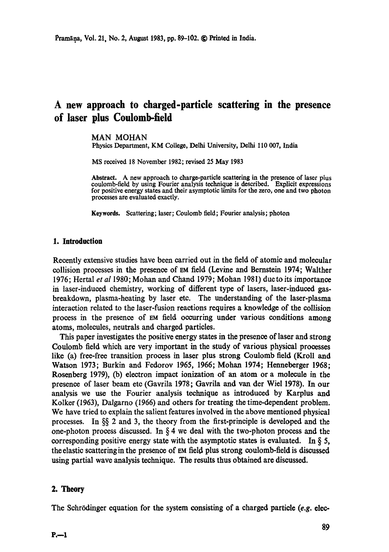# **A new approach to charged-particle scattering in the presence of laser plus Coulomb-field**

#### MAN MOHAN

Physics Department, KM College, Delhi University, Delhi 110 007, India

MS received 18 November 1982; revised 25 May 1983

Abstract. A new approach to charge-particle scattering in the presence of laser plus coulomb-field by using Fourier analysis technique is described. Explicit expressions for positive energy states and their asymptotic limits for the zero, one and two photon processes are evaluated exactly.

**Keywords.** Scattering; laser; Coulomb field; Fourier analysis; photon

## **1. Introduction**

Recently extensive studies have been carried out in the field of atomic and molecular collision processes in the presence of EM field (Levine and Bernstein 1974; Walther 1976; Hertal *et al* 1980; Mohan and Chand 1979; Mohan 1981) due to its importance in laser-induced chemistry, working of different type of lasers, laser-induced gasbreakdown, plasma-heating by laser etc. The understanding of the laser-plasma interaction related to the laser-fusion reactions requires a knowledge of the collision process in the presence of EM field occurring under various conditions among atoms, molecules, neutrals and charged particles.

This paper investigates the positive energy states in the presence of laser and strong Coulomb field which are very important in the study of various physical processes like (a) free-free transition process in laser plus strong Coulomb field (Kroll and Watson 1973; Burkin and Fedorov 1965, 1966; Mohan 1974; Henneberger 1968; Rosenberg 1979), (b) electron impact ionization of an atom or a molecule in the presence of laser beam etc (Gavrila 1978; Gavrila and van der Wiel 1978). In our analysis we use the Fourier analysis technique as introduced by Karplus and Kolker (1963), Dalgarno (1966) and others for treating the time-dependent problem. We have tried to explain the salient features involved in the above mentioned physical processes. In §§ 2 and 3, the theory from the first-principle is developed and the one-photon process discussed. In  $\S 4$  we deal with the two-photon process and the corresponding positive energy state with the asymptotic states is evaluated. In  $\S$  5, the elastic scattering in the presence of  $Em$  field plus strong coulomb-field is discussed using partial wave analysis technique. The results thus obtained are discussed.

#### 2, Theory

The Schrödinger equation for the system consisting of a charged particle *(e.g. elec*-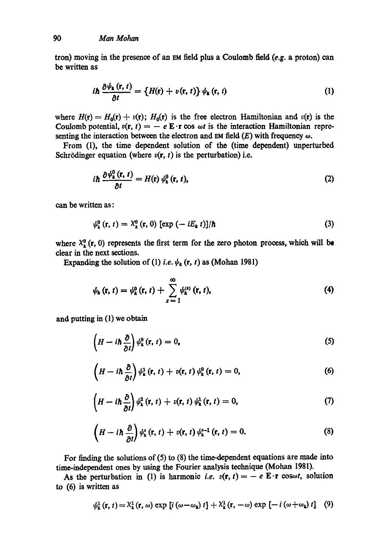tron) moving in the presence of an EM field plus a Coulomb field *(e.g. a proton)* can be written as

$$
i\hbar \frac{\partial \psi_{k}(r,t)}{\partial t} = \left\{H(r) + v(r,t)\right\} \psi_{k}(r,t)
$$
 (1)

where  $H(r) = H_0(r) + v(r)$ ;  $H_0(r)$  is the free electron Hamiltonian and  $v(r)$  is the Coulomb potential,  $v(r, t) = -e E \cdot r \cos \omega t$  is the interaction Hamiltonian representing the interaction between the electron and  $\text{EM}$  field  $(E)$  with frequency  $\omega$ .

From (1), the time dependent solution of the (time dependent) unperturbed Schrödinger equation (where  $v(r, t)$  is the perturbation) i.e.

$$
i\hbar \frac{\partial \psi_{k}^{0}(\mathbf{r},t)}{\partial t} = H(\mathbf{r}) \psi_{k}^{0}(\mathbf{r},t), \qquad (2)
$$

can be written as:

$$
\psi_k^0(\mathbf{r}, t) = \lambda_k^0(\mathbf{r}, 0) \left[ \exp\left(-iE_k t\right) \right] / \hbar \tag{3}
$$

where  $X_k^0$  (r, 0) represents the first term for the zero photon process, which will be clear in the next sections.

Expanding the solution of (1) *i.e.*  $\psi_k$  (r, t) as (Mohan 1981)

$$
\psi_k(r, t) = \psi_k^0(r, t) + \sum_{s=1}^{\infty} \psi_k^{(s)}(r, t), \qquad (4)
$$

and putting in (1) we obtain

$$
\left(H - i\hbar \frac{\partial}{\partial t}\right) \psi_{k}^{0}(\mathbf{r}, t) = 0, \qquad (5)
$$

$$
\left(H - i\hbar \frac{\partial}{\partial t}\right) \psi_k^1(\mathbf{r}, t) + v(\mathbf{r}, t) \psi_k^0(\mathbf{r}, t) = 0, \tag{6}
$$

$$
\left(H - i\hbar \frac{\partial}{\partial t}\right) \psi_k^2 \left(\mathbf{r}, t\right) + v(\mathbf{r}, t) \psi_k^1 \left(\mathbf{r}, t\right) = 0, \tag{7}
$$

$$
\left(H-i\hbar\,\frac{\partial}{\partial t}\right)\psi_k^s\left(\mathbf{r},\,t\right)+v(\mathbf{r},\,t)\,\psi_k^{s-1}\left(\mathbf{r},\,t\right)=0.\tag{8}
$$

For finding the solutions of (5) to (8) the time-dependent equations are made into time-independent ones by using the Fourier analysis technique (Mohan 1981).

As the perturbation in (1) is harmonic *i.e.*  $v(\mathbf{r}, t) = -e \mathbf{E} \cdot \mathbf{r} \cos \omega t$ , solution to (6) is written as

$$
\psi_{k}^{1}(\mathbf{r}, t) = \chi_{k}^{1}(\mathbf{r}, \omega) \exp[i(\omega - \omega_{k}) t] + \chi_{k}^{1}(\mathbf{r}, -\omega) \exp[-i(\omega + \omega_{k}) t] \quad (9)
$$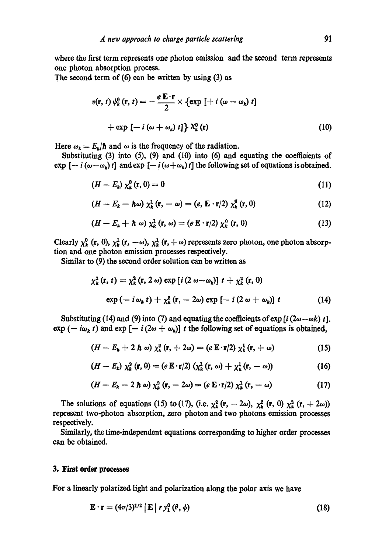where the first term represents one photon emission and the second term represents one photon absorption process.

The second term of  $(6)$  can be written by using  $(3)$  as

$$
v(\mathbf{r}, t) \psi_k^0(\mathbf{r}, t) = -\frac{e \mathbf{E} \cdot \mathbf{r}}{2} \times \{ \exp\left[ + i \left( \omega - \omega_k \right) t \right] + \exp\left[ -i \left( \omega + \omega_k \right) t \right] \} \chi_k^0(\mathbf{r}) \tag{10}
$$

Here  $\omega_k = E_k/\hbar$  and  $\omega$  is the frequency of the radiation.

Substituting (3) into (5), (9) and (10) into (6) and equating the coefficients of  $\exp\left[-i(\omega-\omega_k)t\right]$  and  $\exp\left[-i(\omega+\omega_k)t\right]$  the following set of equations is obtained.

$$
(H-E_k)\chi_k^0(\mathbf{r},0)=0\tag{11}
$$

$$
(H - E_k - \hbar \omega) \chi_k^1(\mathbf{r}, -\omega) = (e, \mathbf{E} \cdot \mathbf{r}/2) \chi_k^0(\mathbf{r}, 0)
$$
 (12)

$$
(H-E_k+\hbar\omega)\chi_k^1(\mathbf{r},\omega)=(e\,\mathbf{E}\cdot\mathbf{r}/2)\,\chi_k^0(\mathbf{r},0)\qquad\qquad(13)
$$

Clearly  $\chi_k^0$  (**r**, 0),  $\chi_k^1$  (**r**,  $-\omega$ ),  $\chi_k^1$  (**r**,  $+\omega$ ) represents zero photon, one photon absorp**tion and one photon emission processes respectively.** 

**Similar to (9) the second order solution can be written as** 

$$
\chi_{k}^{2}(\mathbf{r}, t) = \chi_{k}^{2}(\mathbf{r}, 2 \omega) \exp[i(2 \omega - \omega_{k})] t + \chi_{k}^{2}(\mathbf{r}, 0)
$$
  
exp $(-i \omega_{k} t) + \chi_{k}^{2}(\mathbf{r}, -2\omega) \exp[-i(2 \omega + \omega_{k})] t$  (14)

Substituting (14) and (9) into (7) and equating the coefficients of  $\exp[i(2\omega-\omega k)t]$ .  $\exp(-i\omega_k t)$  and  $\exp[-i(2\omega + \omega_k)]$  t the following set of equations is obtained,

$$
(H-E_{k}+2\hbar\omega)\chi_{k}^{2}(\mathbf{r},+2\omega)=(e\mathbf{E}\cdot\mathbf{r}/2)\chi_{k}^{1}(\mathbf{r},+\omega)
$$
 (15)

$$
(H-E_k)\,\chi_k^2\left(\mathbf{r},0\right)=(e\,\mathbf{E}\cdot\mathbf{r}/2)\,\left(\chi_k^1\left(\mathbf{r},\,\omega\right)+\chi_k^1\left(\mathbf{r},\,-\,\omega\right)\right)\tag{16}
$$

$$
(H-E_k-2\hbar\omega)\chi_k^2(\mathbf{r},-2\omega)=(e\mathbf{E}\cdot\mathbf{r}/2)\chi_k^1(\mathbf{r},-\omega)
$$
 (17)

The solutions of equations (15) to (17), (i.e.  $\chi^2_{k}$  (r,  $- 2\omega$ ),  $\chi^2_{k}$  (r, 0)  $\chi^2_{k}$  (r,  $+ 2\omega$ )) represent two-photon absorption, zero photon and two photons emission processes respectively.

Similarly, the time-independent equations corresponding to higher order processes can be obtained.

### **3. First order processes**

**For a linearly polarized light and polarization along the polar axis we have** 

$$
\mathbf{E} \cdot \mathbf{r} = (4\pi/3)^{1/2} \left| \mathbf{E} \right| r y_1^0 \left( \theta, \phi \right) \tag{18}
$$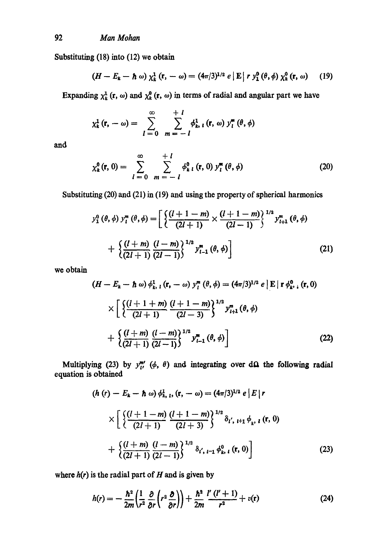Substituting  $(18)$  into  $(12)$  we obtain

$$
(H-E_k-\hbar\omega)\chi_k^1(\mathbf{r},-\omega)=(4\pi/3)^{1/2}e\left|\mathbf{E}\right|r\,\chi_1^0\left(\theta,\phi\right)\chi_k^0\left(\mathbf{r},\,\omega\right)\quad(19)
$$

Expanding  $\chi_k^1$  (r,  $\omega$ ) and  $\chi_k^0$  (r,  $\omega$ ) in terms of radial and angular part we have

$$
\chi_k^1(\mathbf{r}, -\omega) = \sum_{l=0}^{\infty} \sum_{m=-l}^{+l} \phi_{k, l}^1(\mathbf{r}, \omega) y_l^m(\theta, \phi)
$$

and

$$
\chi_{k}^{0}(\mathbf{r},0)=\sum_{l=0}^{\infty}\sum_{m=-l}^{+l}\phi_{k l}^{0}(\mathbf{r},0)\,y_{l}^{m}(\theta,\phi) \qquad (20)
$$

Substituting (20) and (21) in (19) and using the property of spherical harmonics

$$
y_1^0(\theta, \phi) y_l^m(\theta, \phi) = \left[ \frac{\left\{ \frac{(l+1-m)}{(2l+1)} \times \frac{(l+1-m)}{(2l-1)} \right\}^{1/2} y_{l+1}^m(\theta, \phi)}{\left( \frac{(l+m)}{(2l+1)} \frac{(l-m)}{(2l-1)} \right\}^{1/2} y_{l-1}^m(\theta, \phi) \right]
$$
(21)

we obtain

$$
(H - E_k - \hbar \omega) \phi_{k, l}^1 (\mathbf{r}, -\omega) y_l^m (\theta, \phi) = (4\pi/3)^{1/2} e |\mathbf{E}| \mathbf{r} \phi_{k, l}^0 (\mathbf{r}, 0)
$$
  
 
$$
\times \left[ \left\{ \frac{(l+1+m)}{(2l+1)} \frac{(l+1-m)}{(2l-3)} \right\}^{1/2} y_{l+1}^m (\theta, \phi) + \left\{ \frac{(l+m)}{(2l+1)} \frac{(l-m)}{(2l-1)} \right\}^{1/2} y_{l-1}^m (\theta, \phi) \right]
$$
(22)

Multiplying (23) by  $y^m_{\mu'}$  ( $\phi$ ,  $\theta$ ) and integrating over d $\Omega$  the following radial equation is obtained

$$
(h (r) - E_k - \hbar \omega) \phi_{k, l}^1, (r, -\omega) = (4\pi/3)^{1/2} e |E| r
$$
  
 
$$
\times \left[ \frac{\left( l + 1 - m \right) (l + 1 - m)}{(2l + 3)} \right\}^{1/2} \delta_{l', l+1} \phi_{k, l} (r, 0)
$$
  
 
$$
+ \left\{ \frac{(l + m)}{(2l + 1)} \frac{(l - m)}{(2l - 1)} \right\}^{1/2} \delta_{l', l-1} \phi_{k, l}^0 (r, 0) \right]
$$
(23)

where  $h(r)$  is the radial part of  $H$  and is given by

$$
h(r) = -\frac{\hbar^2}{2m} \left( \frac{1}{r^2} \frac{\partial}{\partial r} \left( r^2 \frac{\partial}{\partial r} \right) \right) + \frac{\hbar^2}{2m} \frac{l'(l'+1)}{r^2} + v(\mathbf{r}) \tag{24}
$$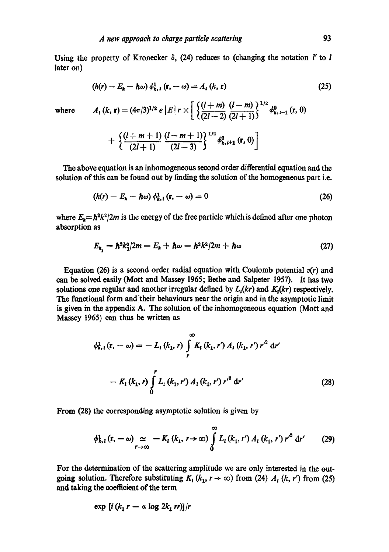Using the property of Kronecker  $\delta$ , (24) reduces to (changing the notation l' to l later on)

$$
(h(r) - E_k - \hbar \omega) \phi_{k, l}^1 \left( \mathbf{r}, -\omega \right) = A_l \left( k, \mathbf{r} \right) \tag{25}
$$

where  $A_1 (k, r) = (4\pi/3)^{1/2} e |E| r \times \left[ \frac{\left( l+m \right)}{\sqrt{2l+2}} \frac{(l-m)}{\sqrt{2l+1}} \right]^{1/2} \phi_{k, l-1}^0 (r, 0)$ 

$$
+\left\{\frac{(l+m+1)}{(2l+1)}\frac{(l-m+1)}{(2l-3)}\right\}^{1/2}\phi_{k,l+1}^{0}(\mathbf{r},0)\bigg]
$$

The above equation is an inhomogeneous second order differential equation and the solution of this can be found out by finding the solution of the homogeneous part i.e.

$$
(h(r) - E_k - \hbar \omega) \phi_{k,1}^1(r, -\omega) = 0 \qquad (26)
$$

where  $E_k = \hbar^2 k^2 / 2m$  is the energy of the free particle which is defined after one photon absorption as

$$
E_{k_1} = \hbar^2 k_1^2 / 2m = E_k + \hbar \omega = \hbar^2 k^2 / 2m + \hbar \omega \qquad (27)
$$

Equation (26) is a second order radial equation with Coulomb potential  $v(r)$  and can be solved easily (Mott and Massey 1965; Bethe and Salpeter 1957). It has two solutions one regular and another irregular defined by  $L_i(kr)$  and  $K_i(kr)$  respectively. The functional form and'their behaviours near the origin and in the asymptotic limit is given in the appendix A. The solution of the inhomogeneous equation (Mott and Massey 1965) can thus be written as

$$
\phi_{k,1}^1(\mathbf{r}, -\omega) = -L_1(k_1, r) \int_r^{\infty} K_1(k_1, r') A_1(k_1, r') r'^2 dr'
$$

$$
-K_1(k_1, r) \int_0^r L_1(k_1, r') A_1(k_1, r') r'^2 dr'
$$
(28)

From (28) the corresponding asymptotic solution is given by

$$
\phi_{k, l}^{1}(r, -\omega) \simeq -K_{l}(k_{1}, r \to \infty) \int_{0}^{\infty} L_{l}(k_{1}, r') A_{l}(k_{1}, r') r'^{2} dr' \qquad (29)
$$

For the determination of the scattering amplitude we are only interested in the outgoing solution. Therefore substituting  $K_1 (k_1, r \rightarrow \infty)$  from (24)  $A_1 (k, r')$  from (25) and taking the coefficient of the term

$$
\exp\left[i\left(k_1\,r\,-\,a\,\log\,2k_1\,rr\right)\right]/r
$$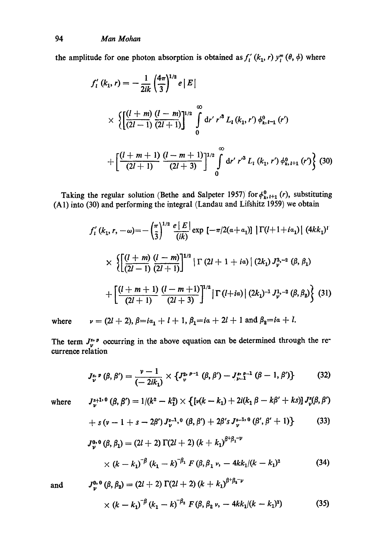the amplitude for one photon absorption is obtained as  $f'_{i}(k_1, r)$   $y''_{i}(\theta, \phi)$  where

$$
f'_{l}(k_{1}, r) = -\frac{1}{2ik} \left(\frac{4\pi}{3}\right)^{1/2} e |E|
$$
  
 
$$
\times \left\{ \left[ \frac{(l+m)}{(2l-1)} \frac{(l-m)}{(2l+1)} \right]^{1/2} \int_{0}^{\infty} dr' r'^{3} L_{l}(k_{1}, r') \phi_{k, l-1}^{0}(r')
$$

$$
+ \left[ \frac{(l+m+1)}{(2l+1)} \frac{(l-m+1)}{(2l+3)} \right]^{1/2} \int_{0}^{\infty} dr' r'^{3} L_{l}(k_{1}, r') \phi_{k, l+1}^{0}(r') \right\} (30)
$$

Taking the regular solution (Bethe and Salpeter 1957) for  $\phi_{k}^{\nu}{}_{i,t+1}(r)$ , substituting (A1) into (30) and performing the integral (Landau and Lifshitz 1959) we obtain

$$
f'_{1}(k_{1}, r, -\omega) = -\left(\frac{\pi}{3}\right)^{1/2} \frac{e|E|}{(ik)} \exp\left[-\pi/2(a+a_{1})\right] |\Gamma(l+1+i a_{1})| (4k k_{1})^{l}
$$
  
 
$$
\times \left\{ \left[ \frac{(l+m)}{(2l-1)} \frac{(l-m)}{(2l+1)} \right]^{1/2} |\Gamma(2l+1+i a)| (2k_{1}) J_{\nu}^{3,-2} (\beta, \beta_{1}) + \left[ \frac{(l+m+1)}{(2l+1)} \frac{(l-m+1)}{(2l+3)} \right]^{1/2} |\Gamma(l+i a)| (2k_{1})^{-1} J_{\nu}^{1,-2} (\beta, \beta_{2}) \right\} (31)
$$

where  $v = (2l + 2), \beta = ia_1 + l + 1, \beta_1 = ia + 2l + 1$  and  $\beta_2 = ia + l$ .

The term  $J_{\nu}^{s,p}$  occurring in the above equation can be determined through the recurrence relation

$$
J_{\nu}^{s,\,p}(\beta,\,\beta')=\frac{\nu-1}{(-2ik_1)}\times\left\{J_{\nu}^{2,\,p-1}(\beta,\,\beta')-J_{\nu-1}^{s,\,p-1}(\beta-1,\,\beta')\right\}\qquad \qquad (32)
$$

where 
$$
J_{\nu}^{s+1.0}(\beta, \beta') = 1/(k^2 - k_1^2) \times \{ [\nu(k - k_1) + 2i(k_1 \beta - k\beta' + ks)] J_{\nu}^s(\beta, \beta')
$$

+ 
$$
s(\nu - 1 + s - 2\beta') J_{\nu}^{s-1,0}(\beta, \beta') + 2\beta' s J_{\nu}^{s-1,0}(\beta', \beta' + 1)
$$
 (33)

$$
J_{\nu}^{0,0}(\beta, \beta_1) = (2l + 2) \Gamma(2l + 2) (k + k_1)^{\beta + \beta_1 - \nu}
$$
  
 
$$
\times (k - k_1)^{-\beta} (k_1 - k)^{-\beta_1} F(\beta, \beta_1 \nu, -4kk_1/(k - k_1)^2)
$$
 (34)

and 
$$
J_{\nu}^{0,0}(\beta, \beta_2) = (2l + 2) \Gamma(2l + 2) (k + k_1)^{\beta + \beta_1 - \nu}
$$
  
  $\times (k - k_1)^{-\beta} (k_1 - k)^{-\beta_2} F(\beta, \beta_2 \nu, -4kk_1/(k - k_1)^2)$  (35)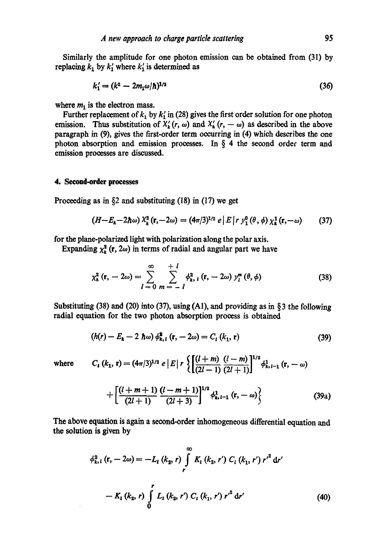Similarly the amplitude for one photon emission can be obtained from (31) by replacing  $k_1$  by  $k'_1$  where  $k'_1$  is determined as

$$
k_1' = (k^2 - 2m_1\omega/\hbar)^{1/2} \tag{36}
$$

where  $m_1$  is the electron mass.

Further replacement of  $k_1$  by  $k'_1$  in (28) gives the first order solution for one photon emission. Thus substitution of  $X'_{k}(r, \omega)$  and  $X'_{k}(r, -\omega)$  as described in the above paragraph in (9), gives the first-order term occurring in (4) which describes the one photon absorption and emission processes. In  $\S$  4 the second order term and emission prooesses are discussed.

# **4. Second-order processes**

Proceeding as in  $\S$ 2 and substituting (18) in (17) we get

$$
(H-E_k-2\hbar\omega)\,X_k^2\left(\mathbf{r},-2\omega\right)=(4\pi/3)^{1/2}\,e\left(E\left|r\,y_1^0\left(\theta,\phi\right)\chi_k^1\left(\mathbf{r},-\omega\right)\right)\qquad(37)
$$

for the plane-polarized light with polarization along the polar axis.

Expanding  $\chi^2_k$  (r, 2 $\omega$ ) in terms of radial and angular part we have

$$
\chi_{k}^{2}(\mathbf{r}, -2\omega) = \sum_{l=0}^{\infty} \sum_{m=-l}^{+l} \phi_{k, l}^{2}(\mathbf{r}, -2\omega) y_{l}^{m}(\theta, \phi)
$$
(38)

Substituting  $(38)$  and  $(20)$  into  $(37)$ , using  $(A1)$ , and providing as in § 3 the following radial equation for the two photon absorption process is obtained

$$
(h(r) - Ek - 2 \hbar \omega) \phik, l2 (\mathbf{r}, -2\omega) = Cl (k1, \mathbf{r})
$$
\n(39)

where 
$$
C_i (k_1, r) = (4\pi/3)^{1/2} e |E| r \left\{ \left[ \frac{(l+m)}{(2l-1)} \frac{(l-m)}{(2l+1)} \right]^{1/2} \phi_{k, l-1}^1 (r, -\omega) \right\}
$$
  

$$
\left[ (l+m+1) (l-m+1) \right]^{1/2} \phi_{k, l-1}^1 (r, -\omega)
$$

$$
+\left[\frac{\sqrt{2(2l+1)}}{(2l+1)}\frac{\sqrt{2(2l+3)}}{(2l+3)}\right] \phi_{k,l-1}^{1} (r,-\omega)\right\}
$$
(39a)

The above equation is again a second-order inhomogencous differential equation and the solution is given by

$$
\phi_{k,1}^{2}(\mathbf{r}, -2\omega) = -L_{1}(k_{2}, r) \int_{r}^{\infty} K_{1}(k_{2}, r') C_{1}(k_{1}, r') r'^{2} dr'
$$

$$
-K_{1}(k_{2}, r) \int_{0}^{r} L_{1}(k_{2}, r') C_{1}(k_{1}, r') r'^{2} dr'
$$
(40)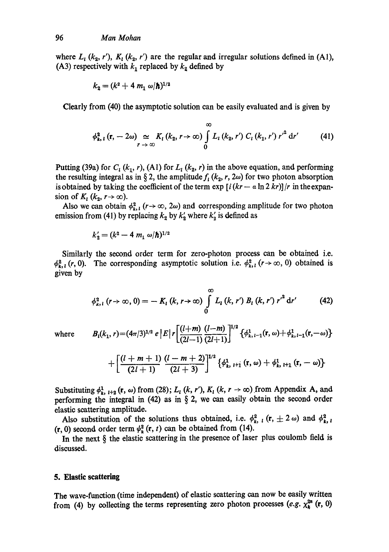where  $L_1$  (k<sub>2</sub>, r'),  $K_1$  (k<sub>2</sub>, r') are the regular and irregular solutions defined in (A1), (A3) respectively with  $k_1$  replaced by  $k_2$  defined by

$$
k_2 = (k^2 + 4 \, m_1 \, \omega/\hbar)^{1/2}
$$

Clearly from (40) the asymptotic solution can be easily evaluated and is given by

$$
\phi_{k, l}^{2}\left(\mathbf{r}, -2\omega\right) \underset{r \to \infty}{\simeq} K_{l}\left(k_{2}, r\to \infty\right) \int\limits_{0}^{\infty} L_{l}\left(k_{2}, r'\right) C_{l}\left(k_{1}, r'\right) r'^{2} \mathrm{d}r' \tag{41}
$$

Putting (39a) for  $C_1 (k_1, r)$ , (A1) for  $L_1 (k_2, r)$  in the above equation, and performing the resulting integral as in § 2, the amplitude  $f<sub>i</sub>$  ( $k<sub>2</sub>$ , r, 2 $\omega$ ) for two photon absorption is obtained by taking the coefficient of the term  $\exp[i(kr - a \ln 2kr)]/r$  in the expansion of  $K_1$  ( $k_2$ ,  $r \rightarrow \infty$ ).

Also we can obtain  $\phi_{k, l}^2$  ( $r \rightarrow \infty$ ,  $2\omega$ ) and corresponding amplitude for two photon emission from (41) by replacing  $k_2$  by  $k'_2$  where  $k'_2$  is defined as

$$
k_2' = (k^2 - 4 \, m_1 \, \omega/\hbar)^{1/2}
$$

Similarly the second order term for zero-photon process can be obtained i.e.  $\phi_{k, l}^2(r, 0)$ . The corresponding asymptotic solution i.e.  $\phi_{k, l}^2 (r \rightarrow \infty, 0)$  obtained is given by

$$
\phi_{k, l}^{2} (r \to \infty, 0) = - K_{l} (k, r \to \infty) \int_{0}^{\infty} L_{l} (k, r') B_{l} (k, r') r'^{2} dr' \qquad (42)
$$

where 
$$
B_i(k_1, r) = (4\pi/3)^{1/2} e |E| r \left[ \frac{(l+m)}{(2l-1)} \frac{(l-m)}{(2l+1)} \right]^{1/2} \{ \phi_{k, l-1}^1(\mathbf{r}, \omega) + \phi_{k, l-1}^1(\mathbf{r}, -\omega) \}
$$

$$
+\left[\frac{(l+m+1)}{(2l+1)}\frac{(l-m+2)}{(2l+3)}\right]^{1/2}\left\{\phi_{k,\;l+1}^1\left(\mathbf{r},\,\omega\right)+\phi_{k,\;l+1}^1\left(\mathbf{r},\,-\,\omega\right)\right\}
$$

Substituting  $\phi_{k, l+2}^1$  (r,  $\omega$ ) from (28);  $L_l$  (k, r'),  $K_l$  (k,  $r \to \infty$ ) from Appendix A, and performing the integral in (42) as in  $\S$  2, we can easily obtain the second order elastic scattering amplitude.

Also substitution of the solutions thus obtained, i.e.  $\phi_{k, l}^2$  (r,  $\pm 2 \omega$ ) and  $\phi_{k, l}^2$  $(r, 0)$  second order term  $\psi_k^2(r, t)$  can be obtained from (14).

In the next  $\S$  the elastic scattering in the presence of laser plus coulomb field is discussed.

# **5. Elastic scattering**

The wave-function (time independent) of elastic scattering can now be easily written from (4) by collecting the terms representing zero photon processes (*e.g.*  $\chi_k^{2n}$  (**r**, 0)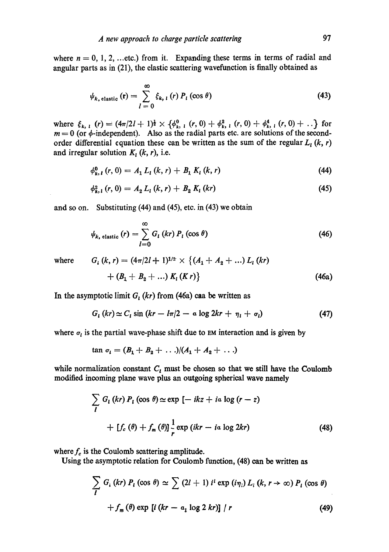where  $n = 0, 1, 2, \dots$  etc.) from it. Expanding these terms in terms of radial and angular parts as in (21), the elastic scattering wavefunction is finally obtained as

$$
\psi_{k,\text{ elastic}}\left(\mathbf{r}\right) = \sum_{l=0}^{\infty} \xi_{k,\,l}\left(r\right) P_{l}\left(\cos\theta\right) \tag{43}
$$

where  $\xi_{k,1}$   $(r) = (4\pi/2l + 1)^{\frac{1}{2}} \times {\phi_{k,1}^0}$   $(r, 0) + {\phi_{k,1}^2}$   $(r, 0) + {\phi_{k,1}^4}$   $(r, 0) + ...$  for  $m = 0$  (or  $\phi$ -independent). Also as the radial parts etc. are solutions of the secondorder differential equation these can be written as the sum of the regular  $L_i(k, r)$ and irregular solution  $K_l$  (k, r), i.e.

$$
\phi_{k, l}^{0} (r, 0) = A_{1} L_{l} (k, r) + B_{1} K_{l} (k, r) \tag{44}
$$

$$
\phi_{k,1}^2(r,0) = A_2 L_1(k,r) + B_2 K_1(kr) \tag{45}
$$

and so on. Substituting (44) and (45), etc. in (43) we obtain

$$
\psi_{k, \text{ elastic}}(r) = \sum_{l=0}^{\infty} G_{l}(kr) P_{l}(\cos \theta)
$$
\n(46)

where  $G_i (k, r) = (4\pi/2l + 1)^{1/2} \times \{ (A_1 + A_2 + ...) L_i (kr) \}$ 

$$
+(B_1+B_2+...) K_1(Kr)\}
$$
\n(46a)

In the asymptotic limit  $G_i$  (kr) from (46a) caa be written as

$$
G_{i}(kr) \simeq C_{i} \sin (kr - l\pi/2 - \alpha \log 2kr + \eta_{i} + \sigma_{i})
$$
 (47)

where  $\sigma_l$  is the partial wave-phase shift due to EM interaction and is given by

$$
\tan \sigma_1 = (B_1 + B_2 + \ldots)/(A_1 + A_2 + \ldots)
$$

while normalization constant  $C_t$  must be chosen so that we still have the Coulomb modified incoming plane wave plus an outgoing spherical wave namely

$$
\sum_{l} G_{l} (kr) P_{l} (\cos \theta) \simeq \exp \left[ -ikz + ia \log (r - z) \right]
$$
  
+ 
$$
\left[ f_{c} (\theta) + f_{m} (\theta) \right] \frac{1}{r} \exp (ikr - ia \log 2kr)
$$
 (48)

where  $f_c$  is the Coulomb scattering amplitude.

Using the asymptotic relation for Coulomb function, (48) can be written as

$$
\sum_{l} G_{i} (kr) P_{l} (\cos \theta) \simeq \sum_{l} (2l + 1) i^{l} \exp(i \eta_{l}) L_{i} (k, r \rightarrow \infty) P_{l} (\cos \theta)
$$
  
+  $f_{m} (\theta) \exp[i (kr - a_{1} \log 2 kr)] / r$  (49)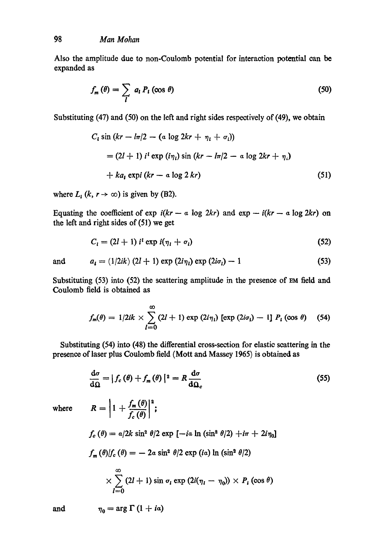Also the amplitude due to non-Coulomb potential for interaction potential can be expanded as

$$
f_m(\theta) = \sum_l a_l P_l(\cos \theta) \tag{50}
$$

Substituting (47) and (50) on the left and right sides respectively of (49), we obtain

$$
C_{i} \sin (kr - l\pi/2 - (a \log 2kr + \eta_{i} + \sigma_{i}))
$$
  
= (2l + 1) i<sup>i</sup> exp ( $i\eta_{i}$ ) sin (kr - l\pi/2 - a log 2kr + \eta\_{i})  
+ ka\_{i} expi (kr - a log 2 kr) (51)

where  $L_i$  (k,  $r \to \infty$ ) is given by (B2).

Equating the coefficient of  $\exp i(kr - a \log 2kr)$  and  $\exp -i(kr - a \log 2kr)$  on the left and right sides of (51) we get

$$
C_i = (2l+1) ii \exp i(\eta_i + \sigma_i)
$$
 (52)

and 
$$
a_i = (1/2ik) (2l + 1) \exp (2i\eta_i) \exp (2i\sigma_i) - 1
$$
 (53)

Substituting (53) into (52) the scattering amplitude in the presence of EM field and Coulomb field is obtained as

$$
f_m(\theta) = 1/2ik \times \sum_{l=0}^{\infty} (2l+1) \exp(2i\eta_l) [\exp(2i\sigma_l) - 1] P_l (\cos \theta) \quad (54)
$$

Substituting (54) into (48) the differential cross-section for elastic scattering in the presence of laser plus Coulomb field (Mott and Massey 1965) is obtained as

$$
\frac{\mathrm{d}\sigma}{\mathrm{d}\Omega} = |f_c(\theta) + f_m(\theta)|^2 = R \frac{\mathrm{d}\sigma}{\mathrm{d}\Omega_c}
$$
\n(55)

where

$$
R = \left| 1 + \frac{f_m(\theta)}{f_c(\theta)} \right|^2;
$$
  
\n
$$
f_c(\theta) = a/2k \sin^2 \theta/2 \exp \left[ -ia \ln (\sin^2 \theta/2) + i\pi + 2i\eta_0 \right]
$$
  
\n
$$
f_m(\theta)/f_c(\theta) = -2a \sin^2 \theta/2 \exp (ia) \ln (\sin^2 \theta/2)
$$
  
\n
$$
\times \sum_{l=0}^{\infty} (2l+1) \sin \sigma_l \exp (2i(\eta_l - \eta_0)) \times P_l(\cos \theta)
$$

and  $\eta_0 = \arg \Gamma (1 + i\alpha)$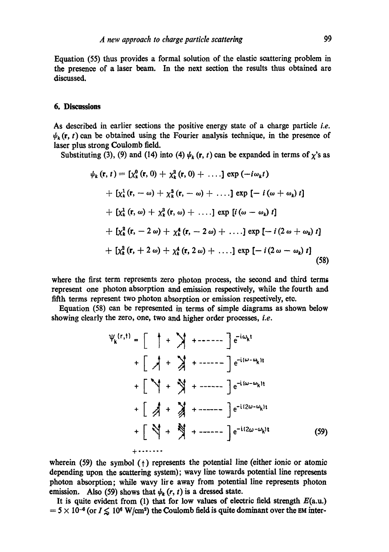Equation (55) thus provides a formal solution of the elastic scattering problem in the presence of a laser beam. In the next section the results thus obtained are discussed.

## **6. Discnssions**

As described in earlier sections the positive energy state of a charge particle *i.e.*   $\psi_k(\mathbf{r}, t)$  can be obtained using the Fourier analysis technique, in the presence of laser plus strong Coulomb field.

Substituting (3), (9) and (14) into (4)  $\psi_k$  (r, t) can be expanded in terms of  $\chi$ 's as

$$
\psi_k(\mathbf{r}, t) = \left[ \chi_k^0(\mathbf{r}, 0) + \chi_k^2(\mathbf{r}, 0) + \ldots \right] \exp\left( -i\omega_k t \right) \n+ \left[ \chi_k^1(\mathbf{r}, -\omega) + \chi_k^3(\mathbf{r}, -\omega) + \ldots \right] \exp\left[ -i\left( \omega + \omega_k \right) t \right] \n+ \left[ \chi_k^1(\mathbf{r}, \omega) + \chi_k^3(\mathbf{r}, \omega) + \ldots \right] \exp\left[ i\left( \omega - \omega_k \right) t \right] \n+ \left[ \chi_k^2(\mathbf{r}, -2\omega) + \chi_k^4(\mathbf{r}, -2\omega) + \ldots \right] \exp\left[ -i\left( 2\omega + \omega_k \right) t \right] \n+ \left[ \chi_k^2(\mathbf{r}, +2\omega) + \chi_k^4(\mathbf{r}, 2\omega) + \ldots \right] \exp\left[ -i\left( 2\omega - \omega_k \right) t \right] \tag{58}
$$

where the first term represents zero photon process, the second and third terms represent one photon absorption and emission respectively, while the fourth and fifth terms represent two photon absorption or emission respectively, etc.

Equation (58) can be represented in terms of simple diagrams as shown below showing clearly the zero, one, two and higher order processes, *i.e.* 

$$
\Psi_{k}^{(r,t)} = \begin{bmatrix} + \sqrt{1 + 2} & + \sqrt{1 + 2 - 2 - 2} \end{bmatrix} e^{-i\omega_{k}t}
$$
  
+ 
$$
\begin{bmatrix} + \sqrt{1 + 2} & + \sqrt{1 + 2 - 2 - 2} \end{bmatrix} e^{-i(\omega - \omega_{k})t}
$$
  
+ 
$$
\begin{bmatrix} -\sqrt{1 + 2} & + \sqrt{1 + 2 - 2 - 2} \end{bmatrix} e^{-i(2\omega - \omega_{k})t}
$$
  
+ 
$$
\begin{bmatrix} -\sqrt{1 + 2} & + \sqrt{1 + 2 - 2 - 2} \end{bmatrix} e^{-i(2\omega - \omega_{k})t}
$$
  
+ 
$$
\begin{bmatrix} -\sqrt{1 + 2} & + \sqrt{2 - 2 - 2} \end{bmatrix} e^{-i(2\omega - \omega_{k})t}
$$
  
+ 
$$
\begin{bmatrix} -\sqrt{1 + 2} & + \sqrt{2 - 2 - 2} \end{bmatrix} e^{-i(2\omega - \omega_{k})t}
$$
 (59)

wherein (59) the symbol  $(1)$  represents the potential line (either ionic or atomic depending upon the scattering system); wavy line towards potential line represents photon absorption; while wavy lire away from potential line represents photon emission. Also (59) shows that  $\psi_k(r, t)$  is a dressed state.

It is quite evident from (1) that for low values of electric field strength  $E(a.u.)$  $-5 \times 10^{-6}$  (or  $I \le 10^6$  W/cm<sup>2</sup>) the Coulomb field is quite dominant over the EM inter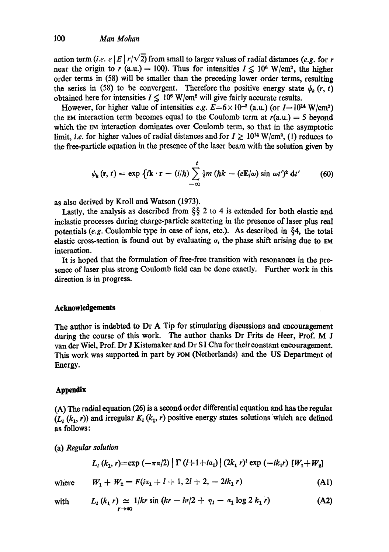action term *(i.e. e | E | r/* $\sqrt{2}$ *)* from small to larger values of radial distances *(e.g. for r*) near the origin to r (a.u.) = 100). Thus for intensities  $I \le 10^6$  W/cm<sup>2</sup>, the higher order terms in (58) will be smaller than the preceding lower order terms, resulting the series in (58) to be convergent. Therefore the positive energy state  $\psi_k(r, t)$ obtained here for intensities  $I \leq 10^6$  W/cm<sup>2</sup> will give fairly accurate results.

However, for higher value of intensities *e.g.*  $E=6 \times 10^{-2}$  (a.u.) (or  $I=10^{14}$  W/cm<sup>2</sup>) the EM interaction term becomes equal to the Coulomb term at  $r(a.u.) = 5$  beyond which the EM interaction dominates over Coulomb term, so that in the asymptotic limit, *i.e.* for higher values of radial distances and for  $I \ge 10^{14}$  W/cm<sup>2</sup>, (1) reduces to the free-partiole equation in the presence of the laser beam with the solution given by

$$
\psi_k(\mathbf{r},t) = \exp \left\{ i \mathbf{k} \cdot \mathbf{r} - (i/\hbar) \sum_{-\infty}^t \frac{1}{2} m \left( \hbar k - (e \mathbf{E}/\omega) \sin \omega t' \right)^2 \mathrm{d}t' \right\}
$$
 (60)

as also derived by Kroll and Watson (1973).

Lastly, the analysis as described from  $\S$ § 2 to 4 is extended for both elastic and inelastic processes during charge-particle scattering in the presence of laser plus real potentials *(e.g.* Coulombie type in ease of ions, eto.). As described in §4, the total elastic cross-section is found out by evaluating  $\sigma$ , the phase shift arising due to EM interaction.

It is hoped that the formulation of free-free transition with resonances in the presence of laser plus strong Coulomb field can be done exactly. Further work in this direction is in progress.

# **Acknowledgements**

The author is indebted to Dr A Tip for stimulating discussions and encouragement during the course of this work. The author thanks Dr Frits de Heer, Prof. M J van der Wiel, Prof. Dr J Kistemaker and Dr SI Chu for their constant encouragement. This work was supported in part by FOM (Netherlands) and the US Department ot Energy.

# **Appendix**

(A) The radial equation (26) is a second order differential equation and has the regular  $(L_1(k_1, r))$  and irregular  $K_1(k_1, r)$  positive energy states solutions which are defined as follows:

(a) *Regular solution* 

$$
L_1(k_1, r) = \exp(-\pi a/2) \left[ \Gamma(l+1+ia_1) \right] (2k_1 r)^t \exp(-ik_1 r) [W_1 + W_2]
$$

where  $W_1 + W_2 = F(ia_1 + l + 1, 2l + 2, -2ik_1 r)$  (A1)

with 
$$
L_1(k_1 r) \simeq 1/kr \sin (kr - ln/2 + \eta_1 - a_1 \log 2 k_1 r)
$$
 (A2)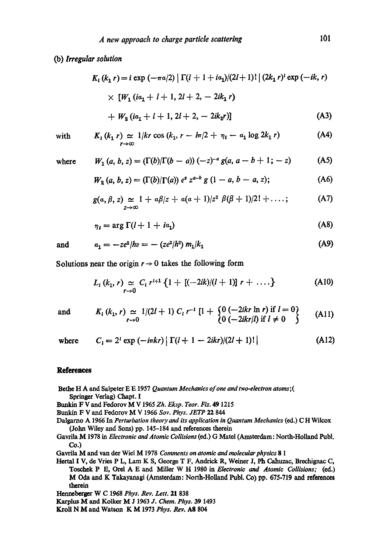# (b) *Irregular solution*

$$
K_{l} (k_{1} r) = i \exp (-\pi a/2) \left[ \Gamma(l + 1 + i a_{1})/(2l + 1)! \right] (2k_{1} r)^{l} \exp (-ik, r)
$$
  
 
$$
\times [W_{1} (i a_{1} + l + 1, 2l + 2, - 2ik_{1} r)
$$
  
 
$$
+ W_{2} (i a_{1} + l + 1, 2l + 2, - 2ik_{2} r)] \tag{A3}
$$

with 
$$
K_1(k_1 r) \simeq 1/kr \cos (k_1, r - l\pi/2 + \eta_1 - a_1 \log 2k_1 r)
$$
 (A4)

wher

re 
$$
W_1(a, b, z) = (\Gamma(b)/\Gamma(b - a)) (-z)^{-a} g(a, a - b + 1; -z)
$$
 (A5)

$$
W_2(a, b, z) = (\Gamma(b)/\Gamma(a)) e^z z^{a-b} g (1 - a, b - a, z); \tag{A6}
$$

$$
g(a, \beta, z) \simeq 1 + a\beta/z + a(a+1)/z^2 \beta(\beta+1)/2! + \ldots; \qquad (A7)
$$

$$
\eta_l = \arg \Gamma(l+1+i a_1) \tag{A8}
$$

and 
$$
a_1 = -ze^2/hv = -(ze^2/h^2) m_1/k_1
$$
 (A9)

Solutions near the origin  $r \rightarrow 0$  takes the following form

$$
L_{l}(k_{1}, r) \simeq C_{l} r^{l+1} \left\{ 1 + [(-2ik)/(l+1)] r + \ldots \right\}
$$
 (A10)

and 
$$
K_l(k_1, r) \simeq 1/(2l+1) C_l r^{-l} [1 + \begin{cases} 0 \ (-2ikr \ln r) \text{ if } l = 0 \\ 0 \ (-2ikr/l) \text{ if } l \neq 0 \end{cases}
$$
 (A11)

where 
$$
C_l = 2^l \exp(-i\pi kr) |\Gamma(l+1-2ikr)/(2l+1)!|
$$
 (A12)

## **References**

- Bethe H A and Salpeter E E 1957 *Quantum Mechanics of one and two.electron atoms;(*  Springer Verlag) Chapt. I
- B~mkin F V and Fedorov M V 1965 *Zh. Eksp. Teor. Fiz.* 49 1215

Bunkin F V and Fedorov M V 1966 *Soy. Phys. JETP* 22 844

- Dalgarno A 1966 In *Perturbation theory and its application in Quantum Mechanics* (ed.) C H Wilcox (John Wiley and Sons) pp. 145-184 and references therein
- Gavrila M 1978 in *Electronic and Atomic Collisions* (ed.) G Matel (Amsterdam: North-Holland Publ. Co.)

Gavrila M and van der Wiel M 1978 *Comments on atomic and molecular physics* 8 1

Hertal I V, de Vries P L, Lam K S, George T F, Andrick R, Weiner J, Ph Cahuzac, Brechignac C, Toschek P E, Orel A E and Miller W H 1980 in *Electronic and Atomic Collisions; (ed.)*  M Oda and K Takayanagi (Amsterdam: North-Holland Publ. Co) pp. 675-719 and references therein

- Karplus **M** and Kolker **M** J 1963 *J. Chem. Phys.* 39 1493
- Kroll N M and Watson K M 1973 *Phys. Rev.* A8 804

Henneberger W C 1968 *Phys. Rev. Lett.* 21 838